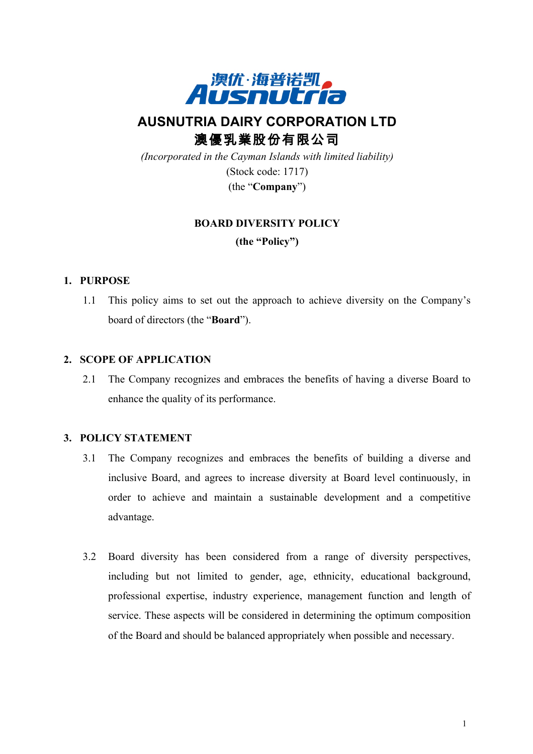

# **AUSNUTRIA DAIRY CORPORATION LTD** 澳優乳業股份有限公司

*(Incorporated in the Cayman Islands with limited liability)* (Stock code: 1717) (the "**Company**")

### **BOARD DIVERSITY POLICY**

**(the "Policy")**

### **1. PURPOSE**

1.1 This policy aims to set out the approach to achieve diversity on the Company's board of directors (the "**Board**").

### **2. SCOPE OF APPLICATION**

2.1 The Company recognizes and embraces the benefits of having a diverse Board to enhance the quality of its performance.

#### **3. POLICY STATEMENT**

- 3.1 The Company recognizes and embraces the benefits of building a diverse and inclusive Board, and agrees to increase diversity at Board level continuously, in order to achieve and maintain a sustainable development and a competitive advantage.
- 3.2 Board diversity has been considered from a range of diversity perspectives, including but not limited to gender, age, ethnicity, educational background, professional expertise, industry experience, management function and length of service. These aspects will be considered in determining the optimum composition of the Board and should be balanced appropriately when possible and necessary.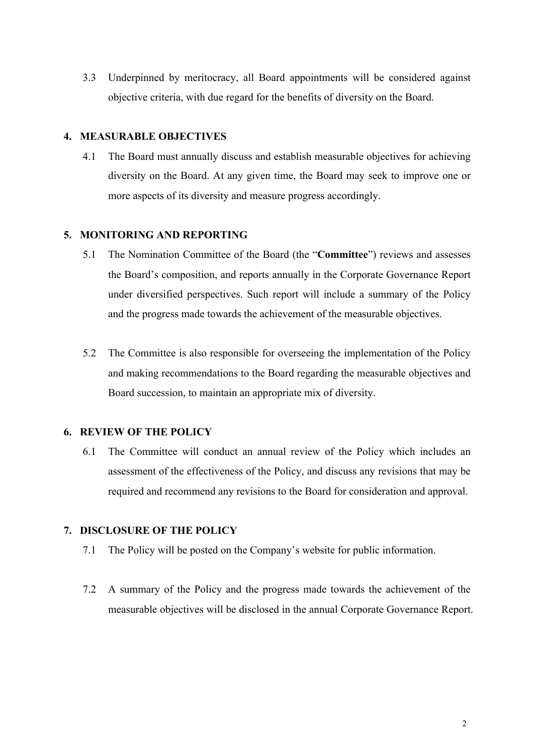3.3 Underpinned by meritocracy, all Board appointments will be considered against objective criteria, with due regard for the benefits of diversity on the Board.

### **4. MEASURABLE OBJECTIVES**

4.1 The Board must annually discuss and establish measurable objectives for achieving diversity on the Board. At any given time, the Board may seek to improve one or more aspects of its diversity and measure progress accordingly.

### **5. MONITORING AND REPORTING**

- 5.1 The Nomination Committee of the Board (the "**Committee**") reviews and assesses the Board's composition, and reports annually in the Corporate Governance Report under diversified perspectives. Such report will include a summary of the Policy and the progress made towards the achievement of the measurable objectives.
- 5.2 The Committee is also responsible for overseeing the implementation of the Policy and making recommendations to the Board regarding the measurable objectives and Board succession, to maintain an appropriate mix of diversity.

#### **6. REVIEW OF THE POLICY**

6.1 The Committee will conduct an annual review of the Policy which includes an assessment of the effectiveness of the Policy, and discuss any revisions that may be required and recommend any revisions to the Board for consideration and approval.

### **7. DISCLOSURE OF THE POLICY**

- 7.1 The Policy will be posted on the Company's website for public information.
- 7.2 A summary of the Policy and the progress made towards the achievement of the measurable objectives will be disclosed in the annual Corporate Governance Report.